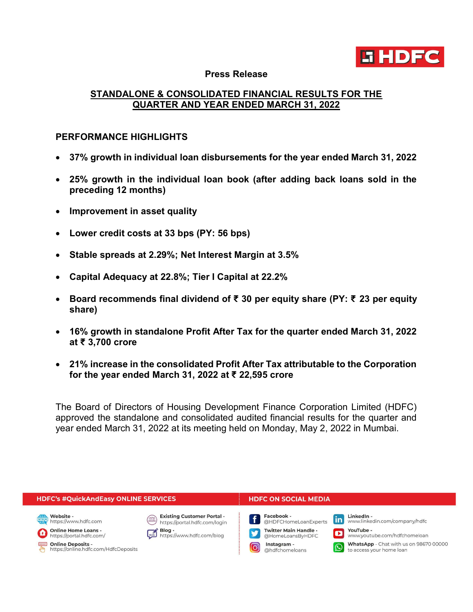

#### Press Release

# STANDALONE & CONSOLIDATED FINANCIAL RESULTS FOR THE QUARTER AND YEAR ENDED MARCH 31, 2022

### PERFORMANCE HIGHLIGHTS

- 37% growth in individual loan disbursements for the year ended March 31, 2022
- 25% growth in the individual loan book (after adding back loans sold in the preceding 12 months)
- Improvement in asset quality
- Lower credit costs at 33 bps (PY: 56 bps)
- Stable spreads at 2.29%; Net Interest Margin at 3.5%
- Capital Adequacy at 22.8%; Tier I Capital at 22.2%
- Board recommends final dividend of ₹ 30 per equity share (PY: ₹ 23 per equity share)
- 16% growth in standalone Profit After Tax for the quarter ended March 31, 2022 at ₹ 3,700 crore
- 21% increase in the consolidated Profit After Tax attributable to the Corporation for the year ended March 31, 2022 at ₹ 22,595 crore

The Board of Directors of Housing Development Finance Corporation Limited (HDFC) approved the standalone and consolidated audited financial results for the quarter and year ended March 31, 2022 at its meeting held on Monday, May 2, 2022 in Mumbai.

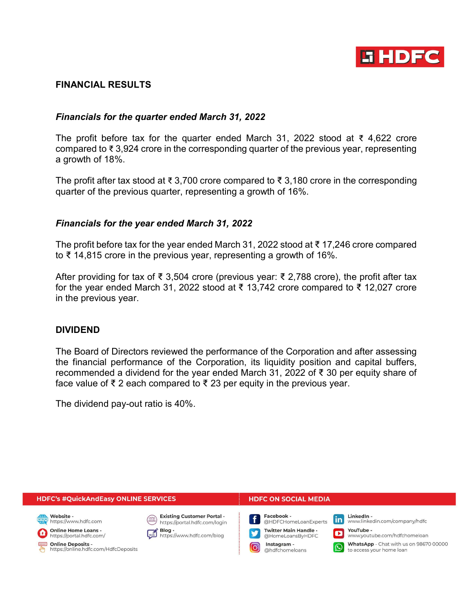

## FINANCIAL RESULTS

## Financials for the quarter ended March 31, 2022

The profit before tax for the quarter ended March 31, 2022 stood at ₹ 4,622 crore compared to ₹ 3,924 crore in the corresponding quarter of the previous year, representing a growth of 18%.

The profit after tax stood at ₹ 3,700 crore compared to ₹ 3,180 crore in the corresponding quarter of the previous quarter, representing a growth of 16%.

### Financials for the year ended March 31, 2022

The profit before tax for the year ended March 31, 2022 stood at ₹ 17,246 crore compared to ₹ 14,815 crore in the previous year, representing a growth of 16%.

After providing for tax of ₹ 3,504 crore (previous year: ₹ 2,788 crore), the profit after tax for the year ended March 31, 2022 stood at ₹ 13,742 crore compared to ₹ 12,027 crore in the previous year.

### DIVIDEND

The Board of Directors reviewed the performance of the Corporation and after assessing the financial performance of the Corporation, its liquidity position and capital buffers, recommended a dividend for the year ended March 31, 2022 of ₹ 30 per equity share of face value of ₹ 2 each compared to ₹ 23 per equity in the previous year.

The dividend pay-out ratio is 40%.

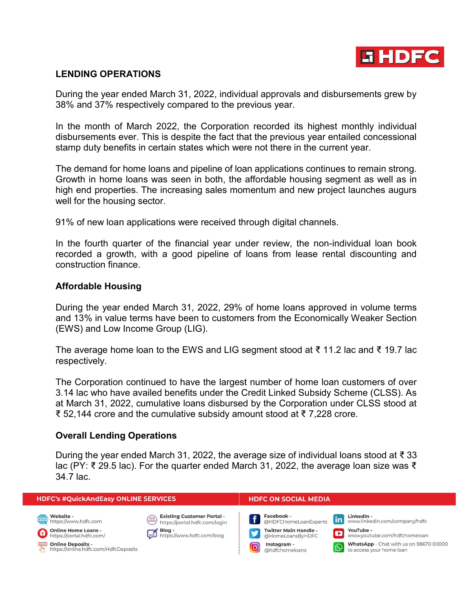

# LENDING OPERATIONS

During the year ended March 31, 2022, individual approvals and disbursements grew by 38% and 37% respectively compared to the previous year.

In the month of March 2022, the Corporation recorded its highest monthly individual disbursements ever. This is despite the fact that the previous year entailed concessional stamp duty benefits in certain states which were not there in the current year.

The demand for home loans and pipeline of loan applications continues to remain strong. Growth in home loans was seen in both, the affordable housing segment as well as in high end properties. The increasing sales momentum and new project launches augurs well for the housing sector.

91% of new loan applications were received through digital channels.

In the fourth quarter of the financial year under review, the non-individual loan book recorded a growth, with a good pipeline of loans from lease rental discounting and construction finance.

### Affordable Housing

During the year ended March 31, 2022, 29% of home loans approved in volume terms and 13% in value terms have been to customers from the Economically Weaker Section (EWS) and Low Income Group (LIG).

The average home loan to the EWS and LIG segment stood at ₹ 11.2 lac and ₹ 19.7 lac respectively.

The Corporation continued to have the largest number of home loan customers of over 3.14 lac who have availed benefits under the Credit Linked Subsidy Scheme (CLSS). As at March 31, 2022, cumulative loans disbursed by the Corporation under CLSS stood at ₹ 52,144 crore and the cumulative subsidy amount stood at ₹ 7,228 crore.

### Overall Lending Operations

During the year ended March 31, 2022, the average size of individual loans stood at ₹33 lac (PY: ₹ 29.5 lac). For the quarter ended March 31, 2022, the average loan size was ₹ 34.7 lac.

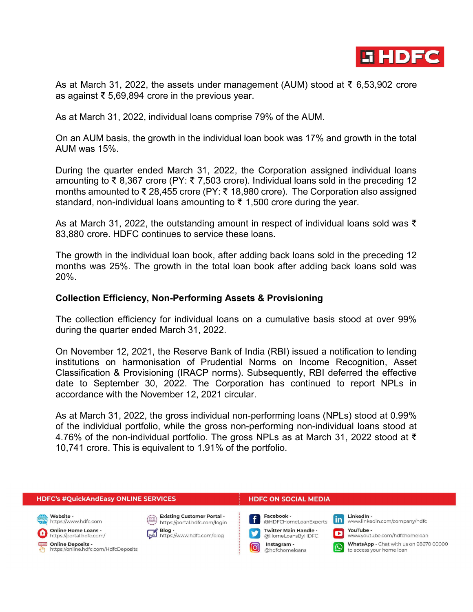

As at March 31, 2022, the assets under management (AUM) stood at ₹ 6,53,902 crore as against ₹ 5,69,894 crore in the previous year.

As at March 31, 2022, individual loans comprise 79% of the AUM.

On an AUM basis, the growth in the individual loan book was 17% and growth in the total AUM was 15%.

During the quarter ended March 31, 2022, the Corporation assigned individual loans amounting to ₹ 8,367 crore (PY: ₹ 7,503 crore). Individual loans sold in the preceding 12 months amounted to ₹ 28,455 crore (PY: ₹ 18,980 crore). The Corporation also assigned standard, non-individual loans amounting to  $\bar{\xi}$  1,500 crore during the year.

As at March 31, 2022, the outstanding amount in respect of individual loans sold was ₹ 83,880 crore. HDFC continues to service these loans.

The growth in the individual loan book, after adding back loans sold in the preceding 12 months was 25%. The growth in the total loan book after adding back loans sold was 20%.

### Collection Efficiency, Non-Performing Assets & Provisioning

The collection efficiency for individual loans on a cumulative basis stood at over 99% during the quarter ended March 31, 2022.

On November 12, 2021, the Reserve Bank of India (RBI) issued a notification to lending institutions on harmonisation of Prudential Norms on Income Recognition, Asset Classification & Provisioning (IRACP norms). Subsequently, RBI deferred the effective date to September 30, 2022. The Corporation has continued to report NPLs in accordance with the November 12, 2021 circular.

As at March 31, 2022, the gross individual non-performing loans (NPLs) stood at 0.99% of the individual portfolio, while the gross non-performing non-individual loans stood at 4.76% of the non-individual portfolio. The gross NPLs as at March 31, 2022 stood at ₹ 10,741 crore. This is equivalent to 1.91% of the portfolio.

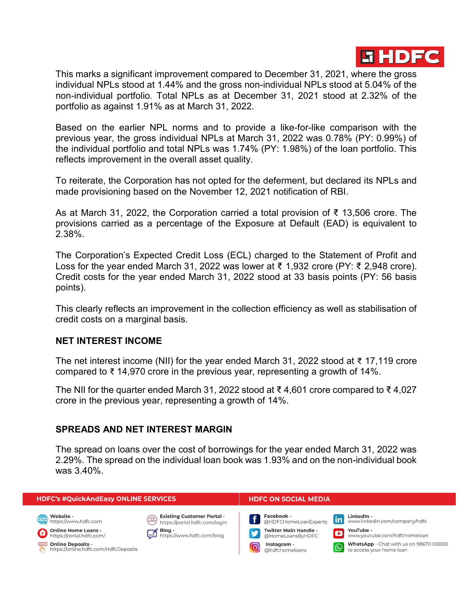

This marks a significant improvement compared to December 31, 2021, where the gross individual NPLs stood at 1.44% and the gross non-individual NPLs stood at 5.04% of the non-individual portfolio. Total NPLs as at December 31, 2021 stood at 2.32% of the portfolio as against 1.91% as at March 31, 2022.

Based on the earlier NPL norms and to provide a like-for-like comparison with the previous year, the gross individual NPLs at March 31, 2022 was 0.78% (PY: 0.99%) of the individual portfolio and total NPLs was 1.74% (PY: 1.98%) of the loan portfolio. This reflects improvement in the overall asset quality.

To reiterate, the Corporation has not opted for the deferment, but declared its NPLs and made provisioning based on the November 12, 2021 notification of RBI.

As at March 31, 2022, the Corporation carried a total provision of ₹ 13,506 crore. The provisions carried as a percentage of the Exposure at Default (EAD) is equivalent to 2.38%.

The Corporation's Expected Credit Loss (ECL) charged to the Statement of Profit and Loss for the year ended March 31, 2022 was lower at ₹ 1,932 crore (PY: ₹ 2,948 crore). Credit costs for the year ended March 31, 2022 stood at 33 basis points (PY: 56 basis points).

This clearly reflects an improvement in the collection efficiency as well as stabilisation of credit costs on a marginal basis.

### NET INTEREST INCOME

The net interest income (NII) for the year ended March 31, 2022 stood at ₹ 17,119 crore compared to ₹ 14,970 crore in the previous year, representing a growth of 14%.

The NII for the quarter ended March 31, 2022 stood at ₹ 4,601 crore compared to ₹ 4,027 crore in the previous year, representing a growth of 14%.

### SPREADS AND NET INTEREST MARGIN

The spread on loans over the cost of borrowings for the year ended March 31, 2022 was 2.29%. The spread on the individual loan book was 1.93% and on the non-individual book was 3.40%.

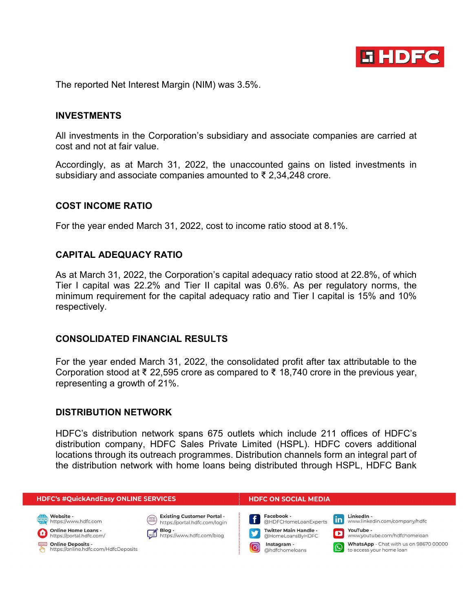

The reported Net Interest Margin (NIM) was 3.5%.

#### INVESTMENTS

All investments in the Corporation's subsidiary and associate companies are carried at cost and not at fair value.

Accordingly, as at March 31, 2022, the unaccounted gains on listed investments in subsidiary and associate companies amounted to ₹ 2,34,248 crore.

#### COST INCOME RATIO

For the year ended March 31, 2022, cost to income ratio stood at 8.1%.

### CAPITAL ADEQUACY RATIO

As at March 31, 2022, the Corporation's capital adequacy ratio stood at 22.8%, of which Tier I capital was 22.2% and Tier II capital was 0.6%. As per regulatory norms, the minimum requirement for the capital adequacy ratio and Tier I capital is 15% and 10% respectively.

#### CONSOLIDATED FINANCIAL RESULTS

For the year ended March 31, 2022, the consolidated profit after tax attributable to the Corporation stood at ₹ 22,595 crore as compared to ₹ 18,740 crore in the previous year, representing a growth of 21%.

#### DISTRIBUTION NETWORK

HDFC's distribution network spans 675 outlets which include 211 offices of HDFC's distribution company, HDFC Sales Private Limited (HSPL). HDFC covers additional locations through its outreach programmes. Distribution channels form an integral part of the distribution network with home loans being distributed through HSPL, HDFC Bank